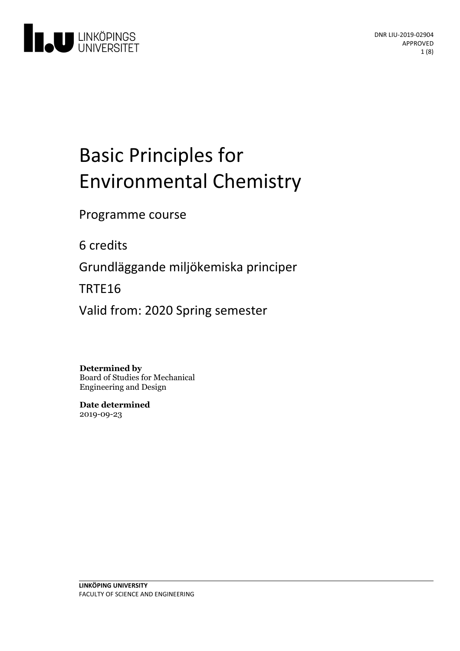

# Basic Principles for Environmental Chemistry

Programme course

6 credits

Grundläggande miljökemiska principer

TRTE16

Valid from: 2020 Spring semester

**Determined by**

Board of Studies for Mechanical Engineering and Design

**Date determined** 2019-09-23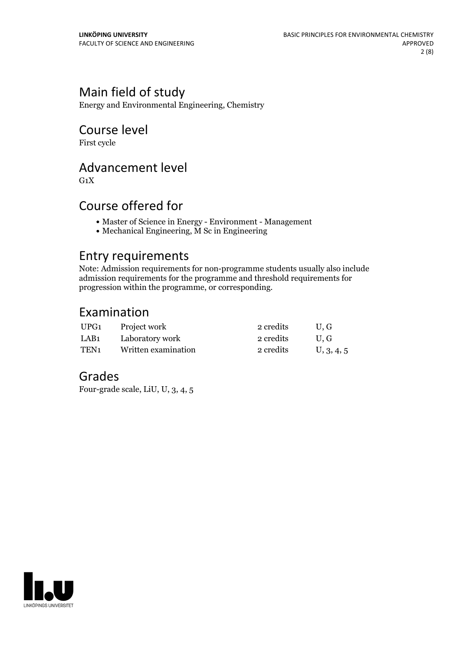# Main field of study

Energy and Environmental Engineering, Chemistry

# Course level

First cycle

# Advancement level

 $G_1X$ 

# Course offered for

- Master of Science in Energy Environment Management
- Mechanical Engineering, M Sc in Engineering

## Entry requirements

Note: Admission requirements for non-programme students usually also include admission requirements for the programme and threshold requirements for progression within the programme, or corresponding.

## Examination

| UPG1             | Project work        | 2 credits | U.G        |
|------------------|---------------------|-----------|------------|
| LAB1             | Laboratory work     | 2 credits | U.G        |
| TEN <sub>1</sub> | Written examination | 2 credits | U, 3, 4, 5 |

# Grades

Four-grade scale, LiU, U, 3, 4, 5

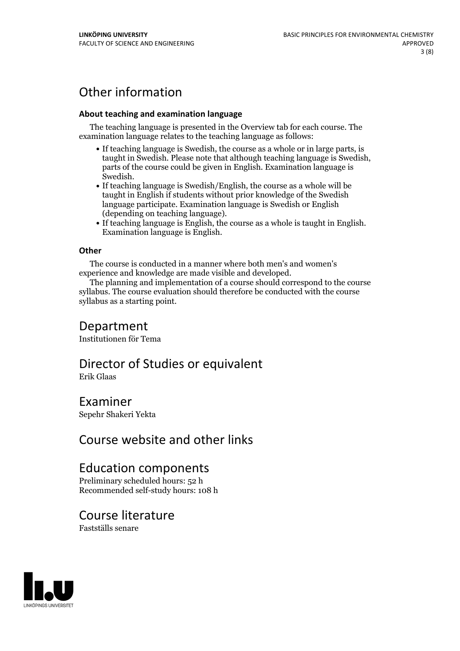# Other information

#### **About teaching and examination language**

The teaching language is presented in the Overview tab for each course. The examination language relates to the teaching language as follows:

- If teaching language is Swedish, the course as a whole or in large parts, is taught in Swedish. Please note that although teaching language is Swedish, parts of the course could be given in English. Examination language is
- Swedish.<br>• If teaching language is Swedish/English, the course as a whole will be taught in English if students without prior knowledge of the Swedish language participate. Examination language is Swedish or English
- (depending on teaching language).<br>
 If teaching language is English, the course as a whole is taught in English.<br>
Examination language is English.

#### **Other**

The course is conducted in a manner where both men's and women's

experience and knowledge are made visible and developed. The planning and implementation of <sup>a</sup> course should correspond to the course syllabus. The course evaluation should therefore be conducted with the course syllabus as a starting point.

### Department

Institutionen för Tema

# Director of Studies or equivalent

Erik Glaas

### Examiner

Sepehr Shakeri Yekta

# Course website and other links

# Education components

Preliminary scheduled hours: 52 h Recommended self-study hours: 108 h

### Course literature

Fastställs senare

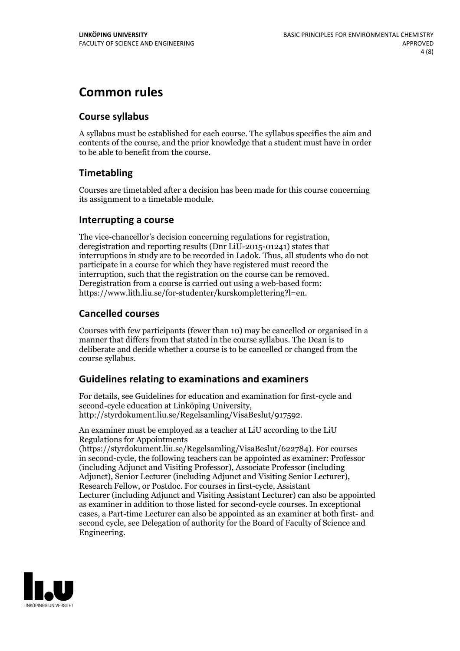# **Common rules**

### **Course syllabus**

A syllabus must be established for each course. The syllabus specifies the aim and contents of the course, and the prior knowledge that a student must have in order to be able to benefit from the course.

### **Timetabling**

Courses are timetabled after a decision has been made for this course concerning its assignment to a timetable module.

### **Interrupting a course**

The vice-chancellor's decision concerning regulations for registration, deregistration and reporting results (Dnr LiU-2015-01241) states that interruptions in study are to be recorded in Ladok. Thus, all students who do not participate in a course for which they have registered must record the interruption, such that the registration on the course can be removed. Deregistration from <sup>a</sup> course is carried outusing <sup>a</sup> web-based form: https://www.lith.liu.se/for-studenter/kurskomplettering?l=en.

### **Cancelled courses**

Courses with few participants (fewer than 10) may be cancelled or organised in a manner that differs from that stated in the course syllabus. The Dean is to deliberate and decide whether a course is to be cancelled or changed from the course syllabus.

### **Guidelines relatingto examinations and examiners**

For details, see Guidelines for education and examination for first-cycle and second-cycle education at Linköping University, http://styrdokument.liu.se/Regelsamling/VisaBeslut/917592.

An examiner must be employed as a teacher at LiU according to the LiU Regulations for Appointments

(https://styrdokument.liu.se/Regelsamling/VisaBeslut/622784). For courses in second-cycle, the following teachers can be appointed as examiner: Professor (including Adjunct and Visiting Professor), Associate Professor (including Adjunct), Senior Lecturer (including Adjunct and Visiting Senior Lecturer), Research Fellow, or Postdoc. For courses in first-cycle, Assistant Lecturer (including Adjunct and Visiting Assistant Lecturer) can also be appointed as examiner in addition to those listed for second-cycle courses. In exceptional cases, a Part-time Lecturer can also be appointed as an examiner at both first- and second cycle, see Delegation of authority for the Board of Faculty of Science and Engineering.

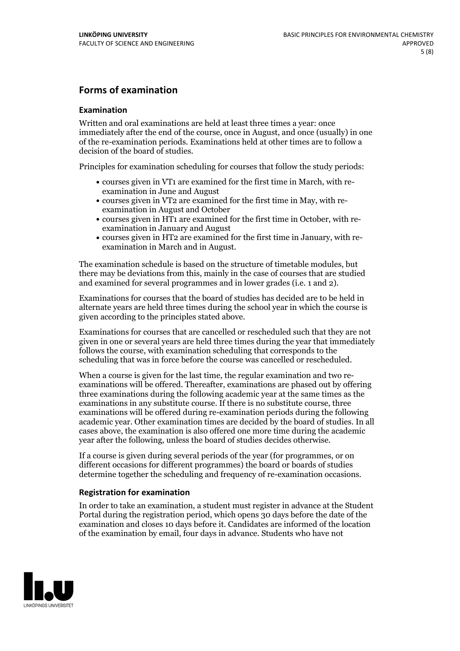### **Forms of examination**

#### **Examination**

Written and oral examinations are held at least three times a year: once immediately after the end of the course, once in August, and once (usually) in one of the re-examination periods. Examinations held at other times are to follow a decision of the board of studies.

Principles for examination scheduling for courses that follow the study periods:

- courses given in VT1 are examined for the first time in March, with re-examination in June and August
- courses given in VT2 are examined for the first time in May, with re-examination in August and October
- courses given in HT1 are examined for the first time in October, with re-examination in January and August
- courses given in HT2 are examined for the first time in January, with re-examination in March and in August.

The examination schedule is based on the structure of timetable modules, but there may be deviations from this, mainly in the case of courses that are studied and examined for several programmes and in lower grades (i.e. 1 and 2).

Examinations for courses that the board of studies has decided are to be held in alternate years are held three times during the school year in which the course is given according to the principles stated above.

Examinations for courses that are cancelled orrescheduled such that they are not given in one or several years are held three times during the year that immediately follows the course, with examination scheduling that corresponds to the scheduling that was in force before the course was cancelled or rescheduled.

When a course is given for the last time, the regular examination and two re-<br>examinations will be offered. Thereafter, examinations are phased out by offering three examinations during the following academic year at the same times as the examinations in any substitute course. If there is no substitute course, three examinations will be offered during re-examination periods during the following academic year. Other examination times are decided by the board of studies. In all cases above, the examination is also offered one more time during the academic year after the following, unless the board of studies decides otherwise.

If a course is given during several periods of the year (for programmes, or on different occasions for different programmes) the board or boards of studies determine together the scheduling and frequency of re-examination occasions.

#### **Registration for examination**

In order to take an examination, a student must register in advance at the Student Portal during the registration period, which opens 30 days before the date of the examination and closes 10 days before it. Candidates are informed of the location of the examination by email, four days in advance. Students who have not

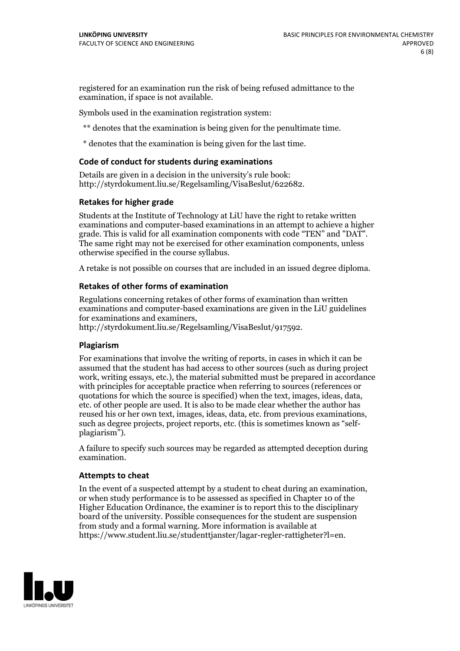registered for an examination run the risk of being refused admittance to the examination, if space is not available.

Symbols used in the examination registration system:

\*\* denotes that the examination is being given for the penultimate time.

\* denotes that the examination is being given for the last time.

#### **Code of conduct for students during examinations**

Details are given in a decision in the university's rule book: http://styrdokument.liu.se/Regelsamling/VisaBeslut/622682.

#### **Retakes for higher grade**

Students at the Institute of Technology at LiU have the right to retake written examinations and computer-based examinations in an attempt to achieve a higher grade. This is valid for all examination components with code "TEN" and "DAT". The same right may not be exercised for other examination components, unless otherwise specified in the course syllabus.

A retake is not possible on courses that are included in an issued degree diploma.

#### **Retakes of other forms of examination**

Regulations concerning retakes of other forms of examination than written examinations and computer-based examinations are given in the LiU guidelines

http://styrdokument.liu.se/Regelsamling/VisaBeslut/917592.

#### **Plagiarism**

For examinations that involve the writing of reports, in cases in which it can be assumed that the student has had access to other sources (such as during project work, writing essays, etc.), the material submitted must be prepared in accordance with principles for acceptable practice when referring to sources (references or quotations for which the source is specified) when the text, images, ideas, data,  $\text{etc.}$  of other people are used. It is also to be made clear whether the author has reused his or her own text, images, ideas, data, etc. from previous examinations, such as degree projects, project reports, etc. (this is sometimes known as "self- plagiarism").

A failure to specify such sources may be regarded as attempted deception during examination.

#### **Attempts to cheat**

In the event of <sup>a</sup> suspected attempt by <sup>a</sup> student to cheat during an examination, or when study performance is to be assessed as specified in Chapter <sup>10</sup> of the Higher Education Ordinance, the examiner is to report this to the disciplinary board of the university. Possible consequences for the student are suspension from study and a formal warning. More information is available at https://www.student.liu.se/studenttjanster/lagar-regler-rattigheter?l=en.

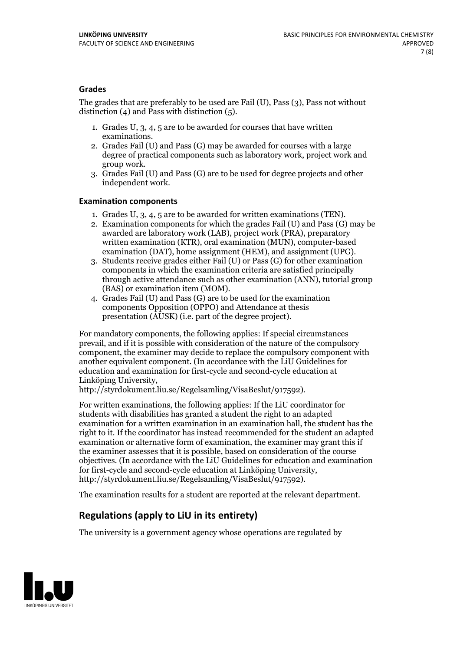### **Grades**

The grades that are preferably to be used are Fail (U), Pass (3), Pass not without distinction  $(4)$  and Pass with distinction  $(5)$ .

- 1. Grades U, 3, 4, 5 are to be awarded for courses that have written
- examinations. 2. Grades Fail (U) and Pass (G) may be awarded for courses with <sup>a</sup> large degree of practical components such as laboratory work, project work and group work. 3. Grades Fail (U) and Pass (G) are to be used for degree projects and other
- independent work.

#### **Examination components**

- 
- 1. Grades U, 3, 4, <sup>5</sup> are to be awarded for written examinations (TEN). 2. Examination components for which the grades Fail (U) and Pass (G) may be awarded are laboratory work (LAB), project work (PRA), preparatory written examination (KTR), oral examination (MUN), computer-based
- examination (DAT), home assignment (HEM), and assignment (UPG). 3. Students receive grades either Fail (U) or Pass (G) for other examination components in which the examination criteria are satisfied principally through active attendance such as other examination (ANN), tutorial group
- (BAS) or examination item (MOM). 4. Grades Fail (U) and Pass (G) are to be used for the examination components Opposition (OPPO) and Attendance at thesis presentation (AUSK) (i.e. part of the degree project).

For mandatory components, the following applies: If special circumstances prevail, and if it is possible with consideration of the nature of the compulsory component, the examiner may decide to replace the compulsory component with another equivalent component. (In accordance with the LiU Guidelines for education and examination for first-cycle and second-cycle education at Linköping University, http://styrdokument.liu.se/Regelsamling/VisaBeslut/917592).

For written examinations, the following applies: If the LiU coordinator for students with disabilities has granted a student the right to an adapted examination for a written examination in an examination hall, the student has the right to it. If the coordinator has instead recommended for the student an adapted examination or alternative form of examination, the examiner may grant this if the examiner assesses that it is possible, based on consideration of the course objectives. (In accordance with the LiU Guidelines for education and examination for first-cycle and second-cycle education at Linköping University, http://styrdokument.liu.se/Regelsamling/VisaBeslut/917592).

The examination results for a student are reported at the relevant department.

### **Regulations (applyto LiU in its entirety)**

The university is a government agency whose operations are regulated by